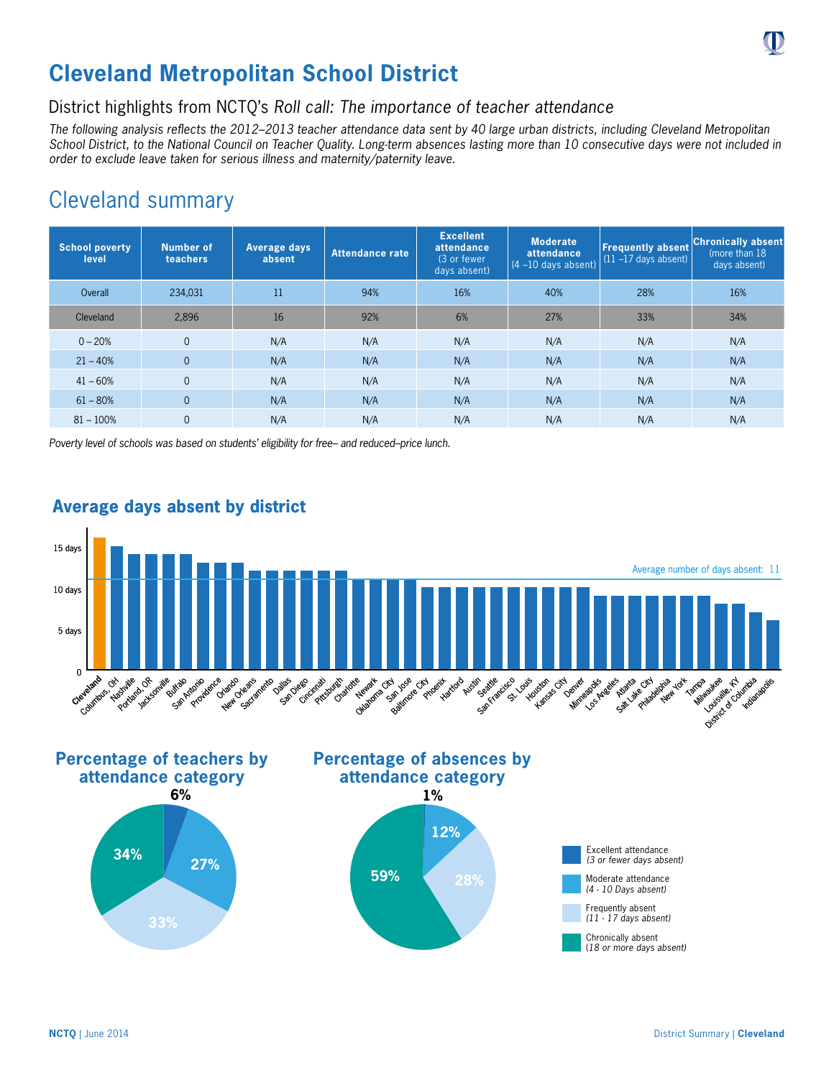# **Cleveland Metropolitan School District**

## District highlights from NCTQ's *Roll call: The importance of teacher attendance*

*The following analysis reflects the 2012–2013 teacher attendance data sent by 40 large urban districts, including Cleveland Metropolitan School District, to the National Council on Teacher Quality. Long-term absences lasting more than 10 consecutive days were not included in order to exclude leave taken for serious illness and maternity/paternity leave.*

## Cleveland summary

| <b>School poverty</b><br>level | <b>Number of</b><br>teachers | <b>Average days</b><br>absent | <b>Attendance rate</b> | <b>Excellent</b><br>attendance<br>(3 or fewer<br>days absent) | <b>Moderate</b><br>attendance<br>$(4 - 10$ days absent) | <b>Frequently absent</b><br>$(11 - 17$ days absent) | <b>Chronically absent</b><br>(more than 18)<br>days absent) |
|--------------------------------|------------------------------|-------------------------------|------------------------|---------------------------------------------------------------|---------------------------------------------------------|-----------------------------------------------------|-------------------------------------------------------------|
| Overall                        | 234,031                      | 11                            | 94%                    | 16%                                                           | 40%                                                     | 28%                                                 | 16%                                                         |
| Cleveland                      | 2.896                        | 16                            | 92%                    | 6%                                                            | 27%                                                     | 33%                                                 | 34%                                                         |
| $0 - 20%$                      | $\overline{0}$               | N/A                           | N/A                    | N/A                                                           | N/A                                                     | N/A                                                 | N/A                                                         |
| $21 - 40%$                     | $\overline{0}$               | N/A                           | N/A                    | N/A                                                           | N/A                                                     | N/A                                                 | N/A                                                         |
| $41 - 60%$                     | $\Omega$                     | N/A                           | N/A                    | N/A                                                           | N/A                                                     | N/A                                                 | N/A                                                         |
| $61 - 80%$                     | $\overline{0}$               | N/A                           | N/A                    | N/A                                                           | N/A                                                     | N/A                                                 | N/A                                                         |
| $81 - 100%$                    | 0                            | N/A                           | N/A                    | N/A                                                           | N/A                                                     | N/A                                                 | N/A                                                         |

*Poverty level of schools was based on students' eligibility for free– and reduced–price lunch.*



## **Average days absent by district**